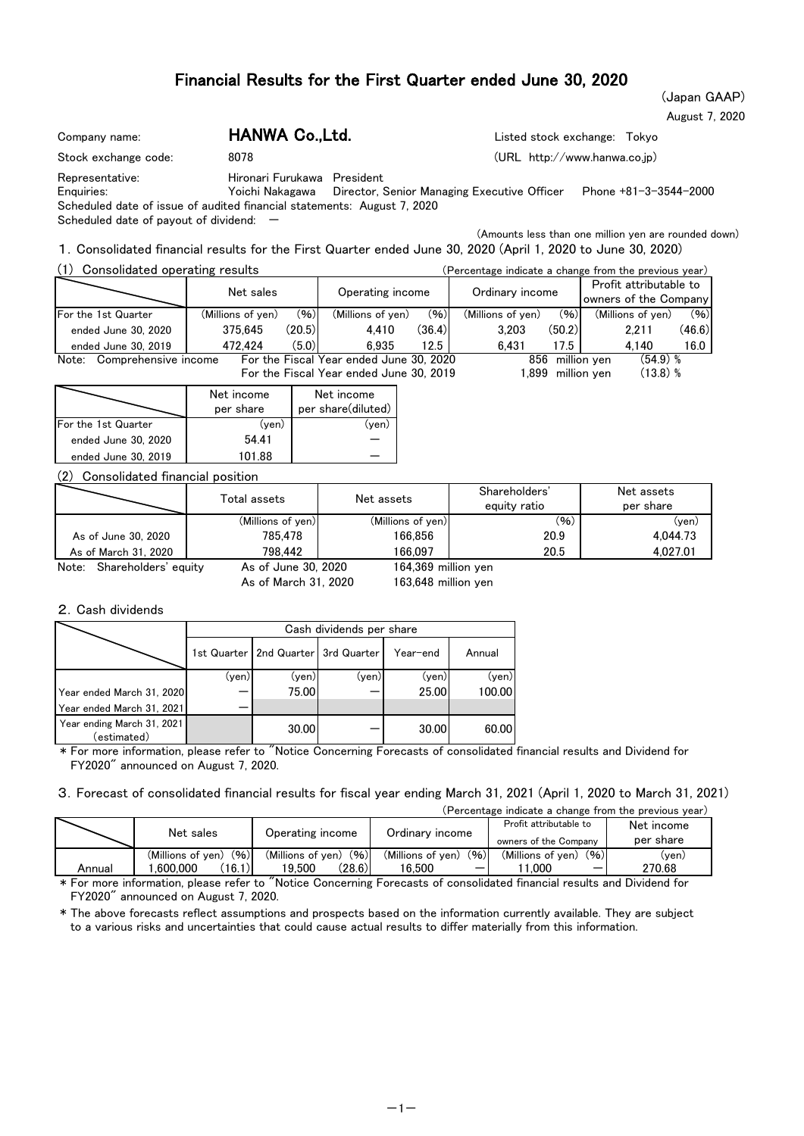## Financial Results for the First Quarter ended June 30, 2020

(Japan GAAP) August 7, 2020

| Company name:                                                           | HANWA Co., Ltd.             |                                                             | Listed stock exchange: Tokyo |
|-------------------------------------------------------------------------|-----------------------------|-------------------------------------------------------------|------------------------------|
| Stock exchange code:                                                    | 8078                        |                                                             | (URL http://www.hanwa.co.jp) |
| Representative:<br>Enauiries:                                           | Hironari Furukawa President | Yoichi Nakagawa Director, Senior Managing Executive Officer | Phone +81-3-3544-2000        |
| Scheduled date of issue of audited financial statements: August 7, 2020 |                             |                                                             |                              |

Scheduled date of payout of dividend:  $-$ 

(Amounts less than one million yen are rounded down)

1.Consolidated financial results for the First Quarter ended June 30, 2020 (April 1, 2020 to June 30, 2020)

| (1)<br>Consolidated operating results |                   |        |                                         | (Percentage indicate a change from the previous year) |                   |                  |                                                 |        |
|---------------------------------------|-------------------|--------|-----------------------------------------|-------------------------------------------------------|-------------------|------------------|-------------------------------------------------|--------|
|                                       | Net sales         |        |                                         | Operating income                                      |                   |                  | Profit attributable to<br>owners of the Company |        |
| For the 1st Quarter                   | (Millions of yen) | (96)   | (Millions of yen)                       | (96)                                                  | (Millions of yen) | (96)             | (Millions of ven)                               | (96)   |
| ended June 30, 2020                   | 375.645           | (20.5) | 4.410                                   | (36.4)                                                | 3.203             | (50.2)           | 2.211                                           | (46.6) |
| ended June 30, 2019                   | 472.424           | (5.0)  | 6.935                                   | 12.5                                                  | 6.431             | 17.5             | 4.140                                           | 16.0   |
| Note: Comprehensive income            |                   |        | For the Fiscal Year ended June 30, 2020 |                                                       |                   | 856 million ven  | $(54.9)$ %                                      |        |
|                                       |                   |        | For the Fiscal Year ended June 30, 2019 |                                                       |                   | .899 million ven | $(13.8)$ %                                      |        |

|                     | Net income<br>per share | Net income<br>per share(diluted) |
|---------------------|-------------------------|----------------------------------|
| For the 1st Quarter | (ven)                   | ven.                             |
| ended June 30, 2020 | 54.41                   |                                  |
| ended June 30, 2019 | 101 88                  |                                  |

(2) Consolidated financial position

|                               | Total assets        | Net assets          | Shareholders'<br>equity ratio | Net assets<br>per share |
|-------------------------------|---------------------|---------------------|-------------------------------|-------------------------|
|                               | (Millions of yen)   | (Millions of yen)   | (96)                          | (yen)                   |
| As of June 30, 2020           | 785.478             | 166.856             | 20.9                          | 4.044.73                |
| As of March 31, 2020          | 798.442             | 166.097             | 20.5                          | 4.027.01                |
| Note:<br>Shareholders' equity | As of June 30, 2020 | 164.369 million ven |                               |                         |

As of March 31, 2020

163,648 million yen 164,369

#### 2.Cash dividends

|                                           |       | Cash dividends per share                |       |          |        |  |  |  |  |  |  |
|-------------------------------------------|-------|-----------------------------------------|-------|----------|--------|--|--|--|--|--|--|
|                                           |       | 1st Quarter   2nd Quarter   3rd Quarter |       | Year-end | Annual |  |  |  |  |  |  |
|                                           | (yen) | (yen)                                   | (yen) | (yen)    | (yen)  |  |  |  |  |  |  |
| Year ended March 31, 2020                 |       | 75.00                                   |       | 25.00    | 100.00 |  |  |  |  |  |  |
| Year ended March 31, 2021                 |       |                                         |       |          |        |  |  |  |  |  |  |
| Year ending March 31, 2021<br>(estimated) |       | 30.00                                   |       | 30.00    | 60.00  |  |  |  |  |  |  |

\* For more information, please refer to "Notice Concerning Forecasts of consolidated financial results and Dividend for FY2020" announced on August 7, 2020.

3.Forecast of consolidated financial results for fiscal year ending March 31, 2021 (April 1, 2020 to March 31, 2021)

| (Percentage indicate a change from the previous year) |  |  |
|-------------------------------------------------------|--|--|
|                                                       |  |  |

|        | Net sales                                       | Operating income                              | Ordinary income                     | Profit attributable to<br>owners of the Company | Net income<br>per share |
|--------|-------------------------------------------------|-----------------------------------------------|-------------------------------------|-------------------------------------------------|-------------------------|
| Annual | (96)<br>(Millions of ven)<br>(16.1)<br>.600.000 | (96)<br>(Millions of ven)<br>(28.6)<br>19.500 | (96)<br>(Millions of ven)<br>16.500 | (96)<br>(Millions of ven)<br>.000<br>–          | (ven)<br>270.68         |

\* For more information, please refer to "Notice Concerning Forecasts of consolidated financial results and Dividend for FY2020" announced on August 7, 2020.

\* The above forecasts reflect assumptions and prospects based on the information currently available. They are subject to a various risks and uncertainties that could cause actual results to differ materially from this information.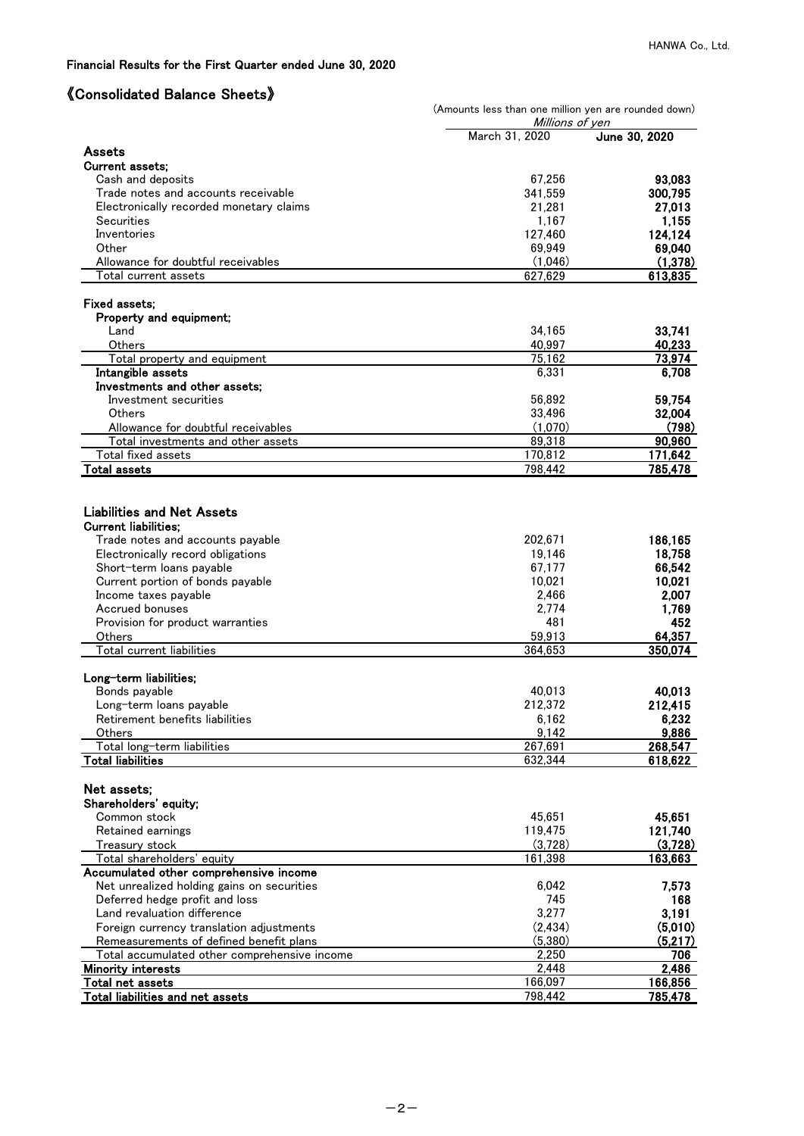#### Financial Results for the First Quarter ended June 30, 2020

# 《Consolidated Balance Sheets》

|                                                            | (Amounts less than one million yen are rounded down)<br>Millions of ven |                     |
|------------------------------------------------------------|-------------------------------------------------------------------------|---------------------|
|                                                            | March 31, 2020                                                          | June 30, 2020       |
| <b>Assets</b>                                              |                                                                         |                     |
| <b>Current assets:</b>                                     |                                                                         |                     |
| Cash and deposits                                          | 67,256                                                                  | 93,083              |
| Trade notes and accounts receivable                        | 341,559                                                                 | 300,795             |
| Electronically recorded monetary claims                    | 21,281                                                                  | 27,013              |
| Securities                                                 | 1,167                                                                   | 1,155               |
| Inventories                                                | 127,460                                                                 | 124,124             |
| Other                                                      | 69,949                                                                  | 69,040              |
| Allowance for doubtful receivables<br>Total current assets | (1,046)<br>627,629                                                      | (1, 378)<br>613,835 |
|                                                            |                                                                         |                     |
| <b>Fixed assets:</b><br>Property and equipment;            |                                                                         |                     |
| Land                                                       | 34,165                                                                  | 33,741              |
| Others                                                     | 40,997                                                                  | 40,233              |
| Total property and equipment                               | 75,162                                                                  | 73,974              |
| Intangible assets                                          | 6,331                                                                   | 6,708               |
| Investments and other assets;                              |                                                                         |                     |
| Investment securities                                      | 56,892                                                                  | 59,754              |
| Others                                                     | 33,496                                                                  | 32,004              |
| Allowance for doubtful receivables                         | (1,070)                                                                 | (798)               |
| Total investments and other assets                         | 89,318                                                                  | 90,960              |
| Total fixed assets                                         | 170,812                                                                 | 171,642             |
| Total assets                                               | 798,442                                                                 | 785,478             |
|                                                            |                                                                         |                     |
| <b>Liabilities and Net Assets</b>                          |                                                                         |                     |
| <b>Current liabilities;</b>                                |                                                                         |                     |
| Trade notes and accounts payable                           | 202,671                                                                 | 186,165             |
| Electronically record obligations                          | 19,146                                                                  | 18,758              |
| Short-term loans payable                                   | 67,177                                                                  | 66,542              |
| Current portion of bonds payable                           | 10,021                                                                  | 10,021              |
| Income taxes payable                                       | 2,466                                                                   | 2,007               |
| Accrued bonuses<br>Provision for product warranties        | 2,774<br>481                                                            | 1,769<br>452        |
| Others                                                     | 59,913                                                                  | 64,357              |
| Total current liabilities                                  | 364,653                                                                 | 350,074             |
|                                                            |                                                                         |                     |
| Long-term liabilities;                                     |                                                                         |                     |
| Bonds payable                                              | 40,013                                                                  | 40,013              |
| Long-term loans payable                                    | 212,372                                                                 | 212,415             |
| Retirement benefits liabilities                            | 6,162                                                                   | 6,232               |
| Others                                                     | 9,142                                                                   | 9,886               |
| Total long-term liabilities                                | 267,691                                                                 | 268,547             |
| <b>Total liabilities</b>                                   | 632,344                                                                 | 618,622             |
| Net assets;                                                |                                                                         |                     |
| Shareholders' equity;                                      |                                                                         |                     |
| Common stock                                               | 45,651                                                                  | 45,651              |
| Retained earnings                                          | 119,475                                                                 | 121,740             |
| Treasury stock                                             | (3,728)                                                                 | (3,728)             |
| Total shareholders' equity                                 | 161,398                                                                 | 163,663             |
| Accumulated other comprehensive income                     |                                                                         |                     |
| Net unrealized holding gains on securities                 | 6,042                                                                   | 7,573               |
| Deferred hedge profit and loss                             | 745                                                                     | 168                 |
| Land revaluation difference                                | 3,277                                                                   | 3,191               |
| Foreign currency translation adjustments                   | (2, 434)                                                                | (5,010)             |
| Remeasurements of defined benefit plans                    | (5, 380)                                                                | (5,217)             |
| Total accumulated other comprehensive income               | 2,250                                                                   | 706                 |
| <b>Minority interests</b>                                  | 2,448                                                                   | 2,486               |
| Total net assets                                           | 166,097<br>798,442                                                      | 166,856<br>785,478  |
| Total liabilities and net assets                           |                                                                         |                     |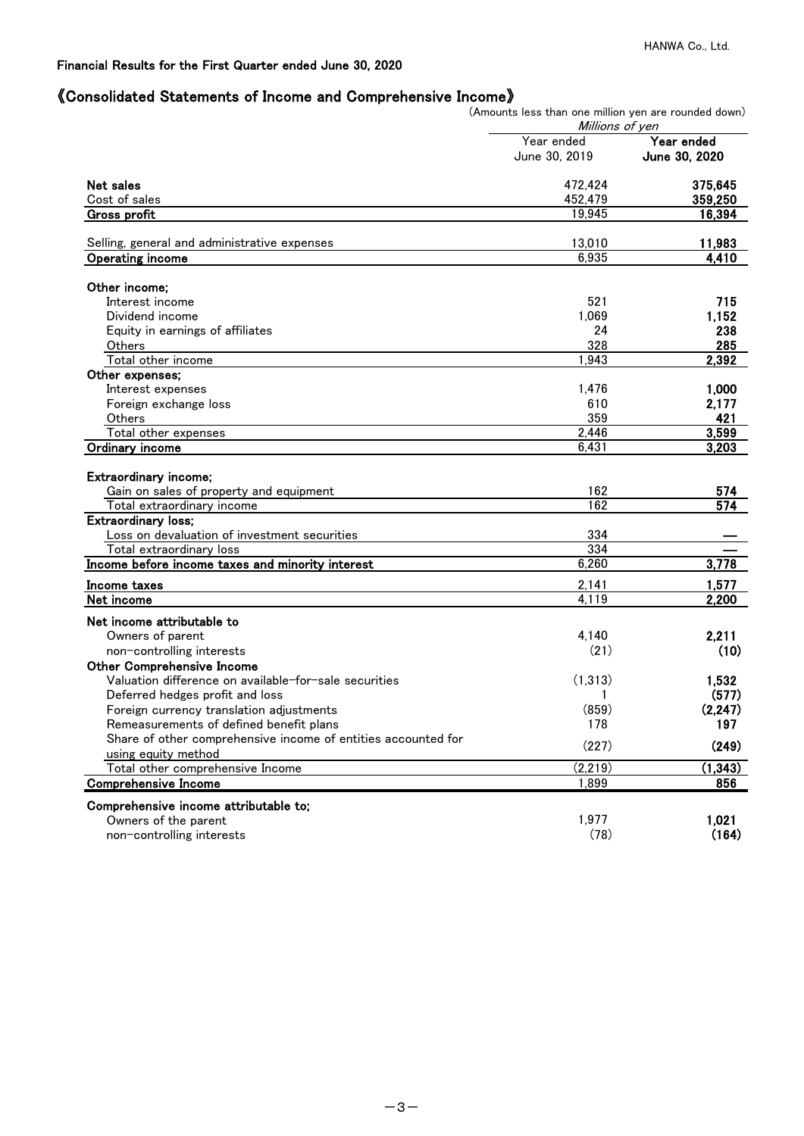## 《Consolidated Statements of Income and Comprehensive Income》

(Amounts less than one million yen are rounded down)

|                                                                                                                                                                                                                                                                                                                                                                                                                                                                                                                                                                                                                                                                                                                                                                                                                                                                                                                                                        | Millions of yen |                  |
|--------------------------------------------------------------------------------------------------------------------------------------------------------------------------------------------------------------------------------------------------------------------------------------------------------------------------------------------------------------------------------------------------------------------------------------------------------------------------------------------------------------------------------------------------------------------------------------------------------------------------------------------------------------------------------------------------------------------------------------------------------------------------------------------------------------------------------------------------------------------------------------------------------------------------------------------------------|-----------------|------------------|
|                                                                                                                                                                                                                                                                                                                                                                                                                                                                                                                                                                                                                                                                                                                                                                                                                                                                                                                                                        | Year ended      | Year ended       |
|                                                                                                                                                                                                                                                                                                                                                                                                                                                                                                                                                                                                                                                                                                                                                                                                                                                                                                                                                        | June 30, 2019   | June 30, 2020    |
| Net sales<br>Selling, general and administrative expenses<br>Operating income<br>Interest income<br>Dividend income<br>Equity in earnings of affiliates<br>Others<br>Total other income<br>Interest expenses<br>Foreign exchange loss<br>Others<br>Total other expenses<br>Extraordinary income;<br>Gain on sales of property and equipment<br>Total extraordinary income<br><b>Extraordinary loss;</b><br>Loss on devaluation of investment securities<br>Total extraordinary loss<br>Income before income taxes and minority interest<br>Income taxes<br>Net income attributable to<br>Owners of parent<br>non-controlling interests<br><b>Other Comprehensive Income</b><br>Valuation difference on available-for-sale securities<br>Deferred hedges profit and loss<br>Foreign currency translation adjustments<br>Remeasurements of defined benefit plans<br>Share of other comprehensive income of entities accounted for<br>using equity method | 472,424         | 375,645          |
| Cost of sales                                                                                                                                                                                                                                                                                                                                                                                                                                                                                                                                                                                                                                                                                                                                                                                                                                                                                                                                          | 452,479         | 359,250          |
| <b>Gross profit</b>                                                                                                                                                                                                                                                                                                                                                                                                                                                                                                                                                                                                                                                                                                                                                                                                                                                                                                                                    | 19,945          | 16,394           |
|                                                                                                                                                                                                                                                                                                                                                                                                                                                                                                                                                                                                                                                                                                                                                                                                                                                                                                                                                        | 13,010          |                  |
|                                                                                                                                                                                                                                                                                                                                                                                                                                                                                                                                                                                                                                                                                                                                                                                                                                                                                                                                                        | 6,935           | 11,983<br>4,410  |
|                                                                                                                                                                                                                                                                                                                                                                                                                                                                                                                                                                                                                                                                                                                                                                                                                                                                                                                                                        |                 |                  |
| Other income;                                                                                                                                                                                                                                                                                                                                                                                                                                                                                                                                                                                                                                                                                                                                                                                                                                                                                                                                          |                 |                  |
|                                                                                                                                                                                                                                                                                                                                                                                                                                                                                                                                                                                                                                                                                                                                                                                                                                                                                                                                                        | 521             | 715              |
|                                                                                                                                                                                                                                                                                                                                                                                                                                                                                                                                                                                                                                                                                                                                                                                                                                                                                                                                                        | 1,069           | 1,152            |
|                                                                                                                                                                                                                                                                                                                                                                                                                                                                                                                                                                                                                                                                                                                                                                                                                                                                                                                                                        | 24              | 238              |
|                                                                                                                                                                                                                                                                                                                                                                                                                                                                                                                                                                                                                                                                                                                                                                                                                                                                                                                                                        | 328             | 285              |
|                                                                                                                                                                                                                                                                                                                                                                                                                                                                                                                                                                                                                                                                                                                                                                                                                                                                                                                                                        | 1.943           | 2,392            |
| Other expenses;                                                                                                                                                                                                                                                                                                                                                                                                                                                                                                                                                                                                                                                                                                                                                                                                                                                                                                                                        |                 |                  |
|                                                                                                                                                                                                                                                                                                                                                                                                                                                                                                                                                                                                                                                                                                                                                                                                                                                                                                                                                        | 1,476           | 1,000            |
|                                                                                                                                                                                                                                                                                                                                                                                                                                                                                                                                                                                                                                                                                                                                                                                                                                                                                                                                                        | 610             | 2,177            |
|                                                                                                                                                                                                                                                                                                                                                                                                                                                                                                                                                                                                                                                                                                                                                                                                                                                                                                                                                        | 359             | 421              |
|                                                                                                                                                                                                                                                                                                                                                                                                                                                                                                                                                                                                                                                                                                                                                                                                                                                                                                                                                        | 2,446           | 3,599            |
| Ordinary income                                                                                                                                                                                                                                                                                                                                                                                                                                                                                                                                                                                                                                                                                                                                                                                                                                                                                                                                        | 6,431           | 3,203            |
|                                                                                                                                                                                                                                                                                                                                                                                                                                                                                                                                                                                                                                                                                                                                                                                                                                                                                                                                                        |                 |                  |
|                                                                                                                                                                                                                                                                                                                                                                                                                                                                                                                                                                                                                                                                                                                                                                                                                                                                                                                                                        | 162             | 574              |
|                                                                                                                                                                                                                                                                                                                                                                                                                                                                                                                                                                                                                                                                                                                                                                                                                                                                                                                                                        | 162             | $\overline{574}$ |
|                                                                                                                                                                                                                                                                                                                                                                                                                                                                                                                                                                                                                                                                                                                                                                                                                                                                                                                                                        |                 |                  |
|                                                                                                                                                                                                                                                                                                                                                                                                                                                                                                                                                                                                                                                                                                                                                                                                                                                                                                                                                        | 334             |                  |
|                                                                                                                                                                                                                                                                                                                                                                                                                                                                                                                                                                                                                                                                                                                                                                                                                                                                                                                                                        | 334             |                  |
|                                                                                                                                                                                                                                                                                                                                                                                                                                                                                                                                                                                                                                                                                                                                                                                                                                                                                                                                                        | 6,260           | 3,778            |
|                                                                                                                                                                                                                                                                                                                                                                                                                                                                                                                                                                                                                                                                                                                                                                                                                                                                                                                                                        | 2,141           | 1,577            |
| Net income                                                                                                                                                                                                                                                                                                                                                                                                                                                                                                                                                                                                                                                                                                                                                                                                                                                                                                                                             | 4.119           | 2,200            |
|                                                                                                                                                                                                                                                                                                                                                                                                                                                                                                                                                                                                                                                                                                                                                                                                                                                                                                                                                        |                 |                  |
|                                                                                                                                                                                                                                                                                                                                                                                                                                                                                                                                                                                                                                                                                                                                                                                                                                                                                                                                                        | 4,140           | 2,211            |
|                                                                                                                                                                                                                                                                                                                                                                                                                                                                                                                                                                                                                                                                                                                                                                                                                                                                                                                                                        | (21)            | (10)             |
|                                                                                                                                                                                                                                                                                                                                                                                                                                                                                                                                                                                                                                                                                                                                                                                                                                                                                                                                                        |                 |                  |
|                                                                                                                                                                                                                                                                                                                                                                                                                                                                                                                                                                                                                                                                                                                                                                                                                                                                                                                                                        | (1,313)         | 1,532            |
|                                                                                                                                                                                                                                                                                                                                                                                                                                                                                                                                                                                                                                                                                                                                                                                                                                                                                                                                                        | 1               | (577)            |
|                                                                                                                                                                                                                                                                                                                                                                                                                                                                                                                                                                                                                                                                                                                                                                                                                                                                                                                                                        | (859)           | (2, 247)         |
|                                                                                                                                                                                                                                                                                                                                                                                                                                                                                                                                                                                                                                                                                                                                                                                                                                                                                                                                                        | 178             |                  |
|                                                                                                                                                                                                                                                                                                                                                                                                                                                                                                                                                                                                                                                                                                                                                                                                                                                                                                                                                        |                 | 197              |
|                                                                                                                                                                                                                                                                                                                                                                                                                                                                                                                                                                                                                                                                                                                                                                                                                                                                                                                                                        | (227)           | (249)            |
| Total other comprehensive Income                                                                                                                                                                                                                                                                                                                                                                                                                                                                                                                                                                                                                                                                                                                                                                                                                                                                                                                       | (2, 219)        | (1, 343)         |
| <b>Comprehensive Income</b>                                                                                                                                                                                                                                                                                                                                                                                                                                                                                                                                                                                                                                                                                                                                                                                                                                                                                                                            | 1,899           | 856              |
| Comprehensive income attributable to;                                                                                                                                                                                                                                                                                                                                                                                                                                                                                                                                                                                                                                                                                                                                                                                                                                                                                                                  |                 |                  |
| Owners of the parent                                                                                                                                                                                                                                                                                                                                                                                                                                                                                                                                                                                                                                                                                                                                                                                                                                                                                                                                   | 1,977           | 1,021            |
| non-controlling interests                                                                                                                                                                                                                                                                                                                                                                                                                                                                                                                                                                                                                                                                                                                                                                                                                                                                                                                              | (78)            | (164)            |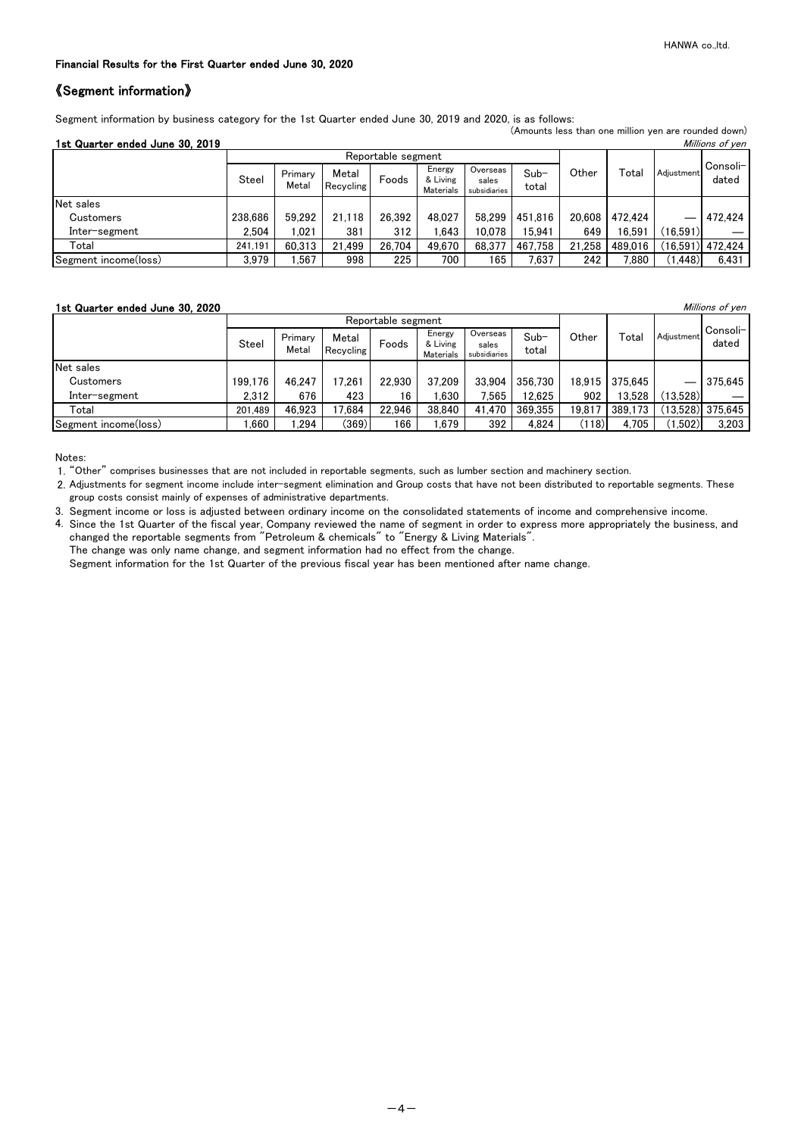(Amounts less than one million yen are rounded down)

#### Financial Results for the First Quarter ended June 30, 2020

### 《Segment information》

Segment information by business category for the 1st Quarter ended June 30, 2019 and 2020, is as follows:

| 1st Quarter ended June 30, 2019 |  |  |
|---------------------------------|--|--|

| 1st Quarter ended June 30, 2019 |         |                  |                    |                    |                                 |                                   |                 |        |         |            | Millions of yen    |
|---------------------------------|---------|------------------|--------------------|--------------------|---------------------------------|-----------------------------------|-----------------|--------|---------|------------|--------------------|
|                                 |         |                  |                    | Reportable segment |                                 |                                   |                 |        |         |            |                    |
|                                 | Steel   | Primary<br>Metal | Metal<br>Recycling | Foods              | Energy<br>& Living<br>Materials | Overseas<br>sales<br>subsidiaries | $Sub-$<br>total | Other  | Total   | Adiustment | Consoli-l<br>dated |
| Net sales                       |         |                  |                    |                    |                                 |                                   |                 |        |         |            |                    |
| Customers                       | 238,686 | 59.292           | 21.118             | 26.392             | 48,027                          | 58,299                            | 451,816         | 20,608 | 472.424 |            | 472,424            |
| Inter-segment                   | 2.504   | .021             | 381                | 312                | .643                            | 10.078                            | 15.941          | 649    | 16.591  | (16,591)   |                    |
| Total                           | 241.191 | 60.313           | 21,499             | 26.704             | 49.670                          | 68.377                            | 467.758         | 21,258 | 489,016 |            | (16,591)  472,424  |
| Segment income(loss)            | 3,979   | ,567             | 998                | 225                | 700                             | 165                               | 7,637           | 242    | 880.'   | (1, 448)   | 6,431              |

#### **1st Quarter ended June 30, 2020** and the second second term of yen and the second of yen and the *Millions of yen*

|                      |         |                  |                    | Reportable segment |                                 |                                   |                 |        |         |            |                    |
|----------------------|---------|------------------|--------------------|--------------------|---------------------------------|-----------------------------------|-----------------|--------|---------|------------|--------------------|
|                      | Steel   | Primary<br>Metal | Metal<br>Recycling | Foods              | Energy<br>& Living<br>Materials | Overseas<br>sales<br>subsidiaries | $Sub-$<br>total | Other  | Total   | Adjustment | Consoli-<br>dated  |
| Net sales            |         |                  |                    |                    |                                 |                                   |                 |        |         |            |                    |
| Customers            | 199.176 | 46.247           | 7.261              | 22.930             | 37,209                          | 33.904                            | 356,730         | 18.915 | 375.645 |            | 375,645            |
| Inter–segment        | 2.312   | 676              | 423                | 16                 | .630                            | 7.565                             | 12.625          | 902    | 13.528  | (13,528)   |                    |
| Total                | 201.489 | 46.923           | 7,684              | 22.946             | 38,840                          | 41,470                            | 369,355         | 19,817 | 389,173 |            | $(13,528)$ 375,645 |
| Segment income(loss) | .660    | 294, ا           | (369)              | 166                | .679                            | 392                               | 4.824           | (118)  | 4,705   | ,502)      | 3,203              |

Notes:

1. "Other" comprises businesses that are not included in reportable segments, such as lumber section and machinery section.

2. Adjustments for segment income include inter-segment elimination and Group costs that have not been distributed to reportable segments. These group costs consist mainly of expenses of administrative departments.

3. Segment income or loss is adjusted between ordinary income on the consolidated statements of income and comprehensive income.

4. Since the 1st Quarter of the fiscal year, Company reviewed the name of segment in order to express more appropriately the business, and changed the reportable segments from "Petroleum & chemicals" to "Energy & Living Materials". The change was only name change, and segment information had no effect from the change.

Segment information for the 1st Quarter of the previous fiscal year has been mentioned after name change.